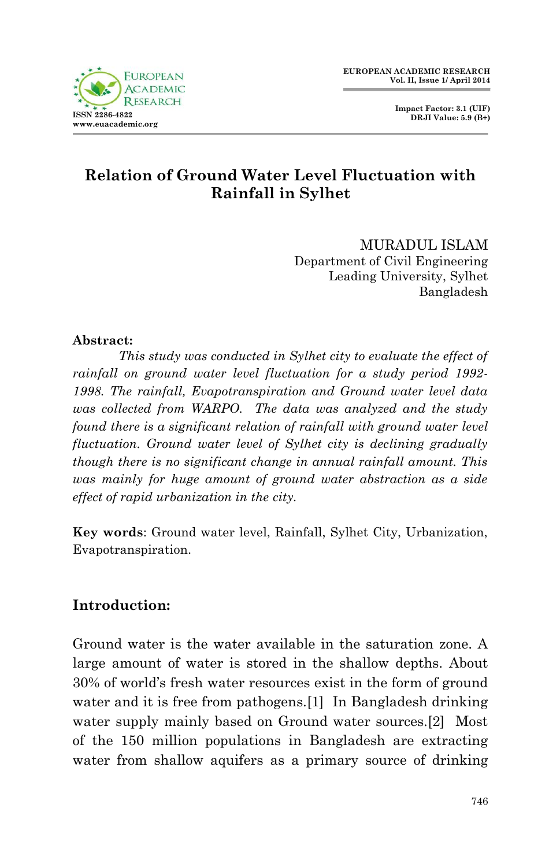

# **Relation of Ground Water Level Fluctuation with Rainfall in Sylhet**

MURADUL ISLAM Department of Civil Engineering Leading University, Sylhet Bangladesh

### **Abstract:**

*This study was conducted in Sylhet city to evaluate the effect of rainfall on ground water level fluctuation for a study period 1992- 1998. The rainfall, Evapotranspiration and Ground water level data was collected from WARPO. The data was analyzed and the study found there is a significant relation of rainfall with ground water level fluctuation. Ground water level of Sylhet city is declining gradually though there is no significant change in annual rainfall amount. This was mainly for huge amount of ground water abstraction as a side effect of rapid urbanization in the city.*

**Key words**: Ground water level, Rainfall, Sylhet City, Urbanization, Evapotranspiration.

### **Introduction:**

Ground water is the water available in the saturation zone. A large amount of water is stored in the shallow depths. About 30% of world's fresh water resources exist in the form of ground water and it is free from pathogens.[1] In Bangladesh drinking water supply mainly based on Ground water sources.[2] Most of the 150 million populations in Bangladesh are extracting water from shallow aquifers as a primary source of drinking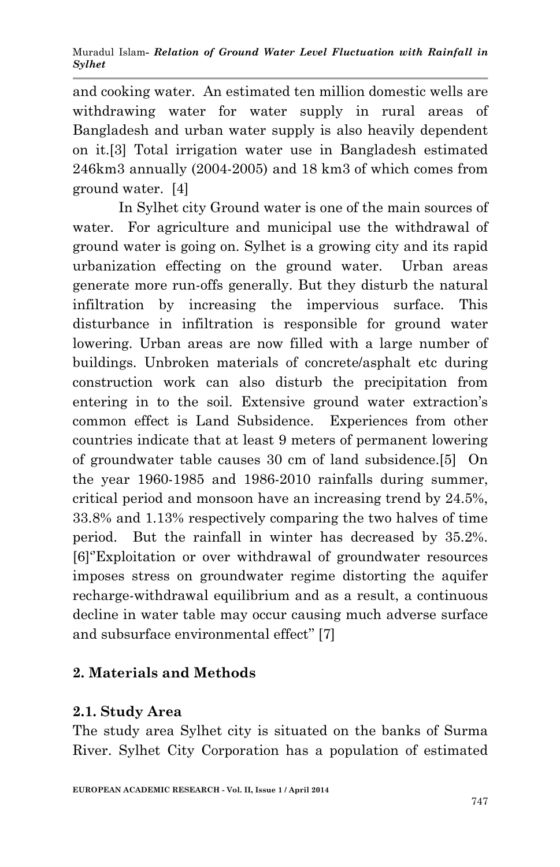and cooking water. An estimated ten million domestic wells are withdrawing water for water supply in rural areas of Bangladesh and urban water supply is also heavily dependent on it.[3] Total irrigation water use in Bangladesh estimated 246km3 annually (2004-2005) and 18 km3 of which comes from ground water. [4]

In Sylhet city Ground water is one of the main sources of water. For agriculture and municipal use the withdrawal of ground water is going on. Sylhet is a growing city and its rapid urbanization effecting on the ground water. Urban areas generate more run-offs generally. But they disturb the natural infiltration by increasing the impervious surface. This disturbance in infiltration is responsible for ground water lowering. Urban areas are now filled with a large number of buildings. Unbroken materials of concrete/asphalt etc during construction work can also disturb the precipitation from entering in to the soil. Extensive ground water extraction's common effect is Land Subsidence. Experiences from other countries indicate that at least 9 meters of permanent lowering of groundwater table causes 30 cm of land subsidence.[5] On the year 1960-1985 and 1986-2010 rainfalls during summer, critical period and monsoon have an increasing trend by 24.5%, 33.8% and 1.13% respectively comparing the two halves of time period. But the rainfall in winter has decreased by 35.2%. [6]''Exploitation or over withdrawal of groundwater resources imposes stress on groundwater regime distorting the aquifer recharge-withdrawal equilibrium and as a result, a continuous decline in water table may occur causing much adverse surface and subsurface environmental effect'' [7]

## **2. Materials and Methods**

## **2.1. Study Area**

The study area Sylhet city is situated on the banks of Surma River. Sylhet City Corporation has a population of estimated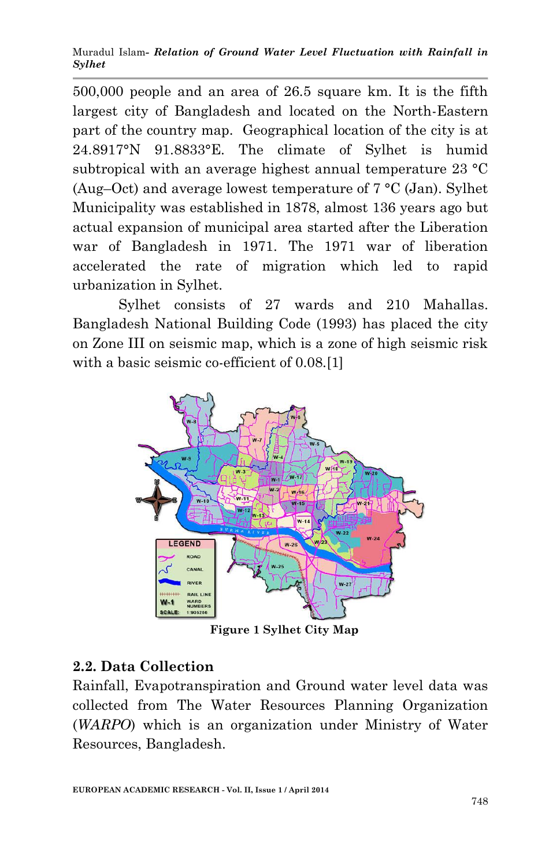Muradul Islam*- Relation of Ground Water Level Fluctuation with Rainfall in Sylhet*

500,000 people and an area of 26.5 square km. It is the fifth largest city of Bangladesh and located on the North-Eastern part of the country map. Geographical location of the city is at 24.8917°N 91.8833°E. The climate of Sylhet is humid subtropical with an average highest annual temperature 23 °C (Aug–Oct) and average lowest temperature of  $7 \text{ °C}$  (Jan). Sylhet Municipality was established in 1878, almost 136 years ago but actual expansion of municipal area started after the Liberation war of Bangladesh in 1971. The 1971 war of liberation accelerated the rate of migration which led to rapid urbanization in Sylhet.

Sylhet consists of 27 wards and 210 Mahallas. Bangladesh National Building Code (1993) has placed the city on Zone III on seismic map, which is a zone of high seismic risk with a basic seismic co-efficient of  $0.08$ .[1]



 **Figure 1 Sylhet City Map**

### **2.2. Data Collection**

Rainfall, Evapotranspiration and Ground water level data was collected from The Water Resources Planning Organization (*WARPO*) which is an organization under Ministry of Water Resources, Bangladesh.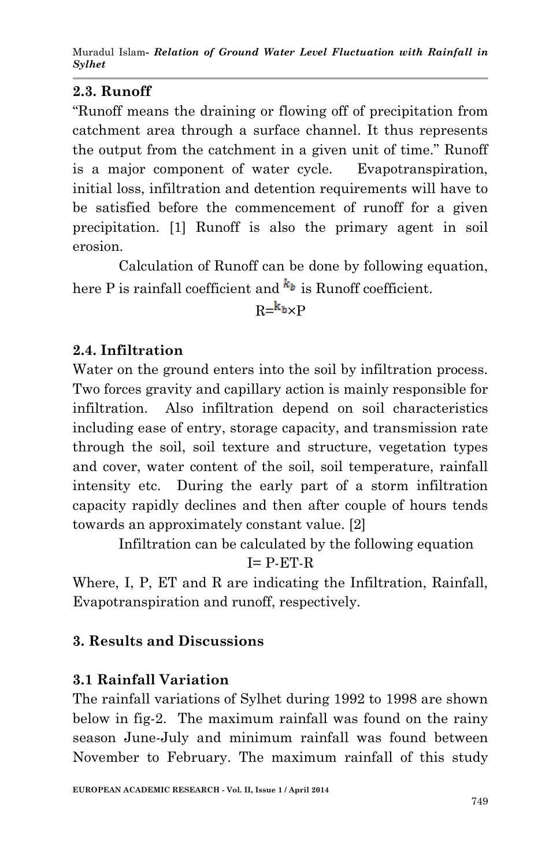# **2.3. Runoff**

"Runoff means the draining or flowing off of precipitation from catchment area through a surface channel. It thus represents the output from the catchment in a given unit of time." Runoff is a major component of water cycle. Evapotranspiration, initial loss, infiltration and detention requirements will have to be satisfied before the commencement of runoff for a given precipitation. [1] Runoff is also the primary agent in soil erosion.

Calculation of Runoff can be done by following equation, here P is rainfall coefficient and  $k_b$  is Runoff coefficient.

# $R = k_b \times P$

# **2.4. Infiltration**

Water on the ground enters into the soil by infiltration process. Two forces gravity and capillary action is mainly responsible for infiltration. Also infiltration depend on soil characteristics including ease of entry, storage capacity, and transmission rate through the soil, soil texture and structure, vegetation types and cover, water content of the soil, soil temperature, rainfall intensity etc. During the early part of a storm infiltration capacity rapidly declines and then after couple of hours tends towards an approximately constant value. [2]

Infiltration can be calculated by the following equation

$$
I = P\text{-}ET\text{-}R
$$

Where, I, P, ET and R are indicating the Infiltration, Rainfall, Evapotranspiration and runoff, respectively.

# **3. Results and Discussions**

## **3.1 Rainfall Variation**

The rainfall variations of Sylhet during 1992 to 1998 are shown below in fig-2. The maximum rainfall was found on the rainy season June-July and minimum rainfall was found between November to February. The maximum rainfall of this study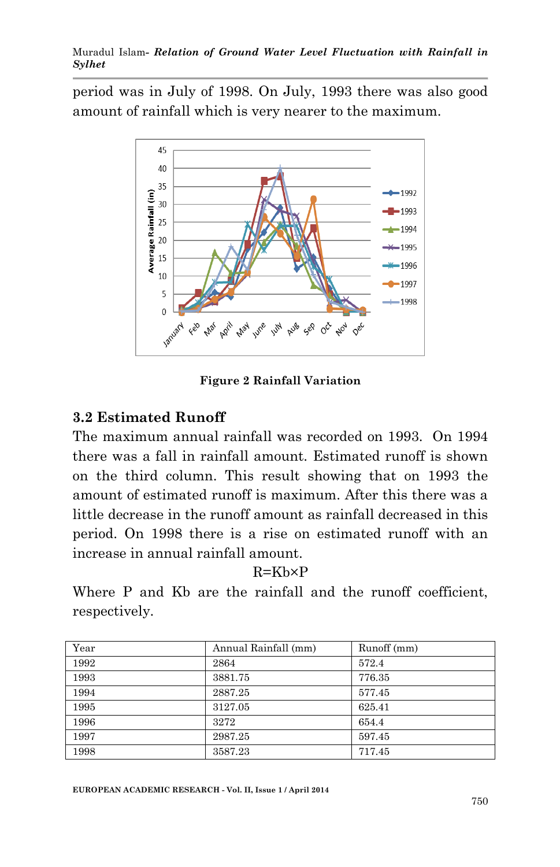Muradul Islam*- Relation of Ground Water Level Fluctuation with Rainfall in Sylhet*

period was in July of 1998. On July, 1993 there was also good amount of rainfall which is very nearer to the maximum.



**Figure 2 Rainfall Variation**

#### **3.2 Estimated Runoff**

The maximum annual rainfall was recorded on 1993. On 1994 there was a fall in rainfall amount. Estimated runoff is shown on the third column. This result showing that on 1993 the amount of estimated runoff is maximum. After this there was a little decrease in the runoff amount as rainfall decreased in this period. On 1998 there is a rise on estimated runoff with an increase in annual rainfall amount.

 $R=Kh\times P$ 

Where P and Kb are the rainfall and the runoff coefficient, respectively.

| Year | Annual Rainfall (mm) | Runoff (mm) |
|------|----------------------|-------------|
| 1992 | 2864                 | 572.4       |
| 1993 | 3881.75              | 776.35      |
| 1994 | 2887.25              | 577.45      |
| 1995 | 3127.05              | 625.41      |
| 1996 | 3272                 | 654.4       |
| 1997 | 2987.25              | 597.45      |
| 1998 | 3587.23              | 717.45      |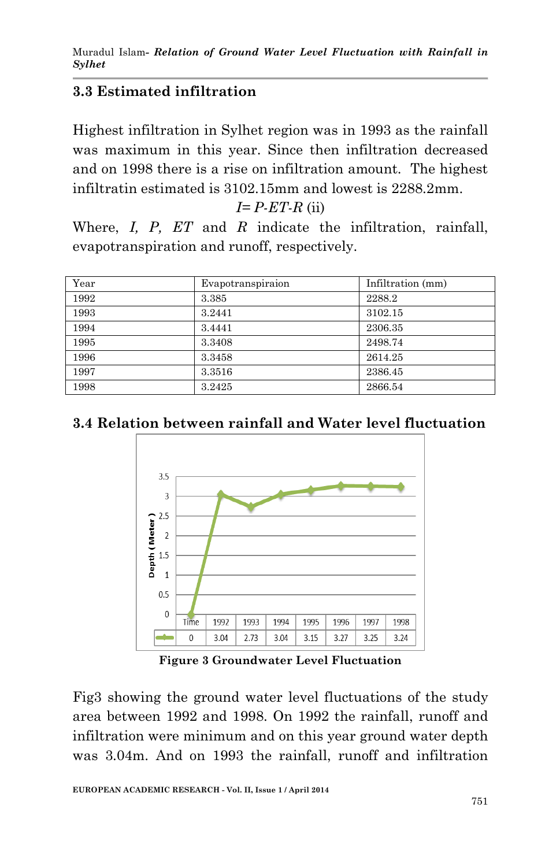# **3.3 Estimated infiltration**

Highest infiltration in Sylhet region was in 1993 as the rainfall was maximum in this year. Since then infiltration decreased and on 1998 there is a rise on infiltration amount. The highest infiltratin estimated is 3102.15mm and lowest is 2288.2mm.

*I= P-ET-R* (ii)

Where, *I, P, ET* and *R* indicate the infiltration, rainfall, evapotranspiration and runoff, respectively.

| Year | Evapotranspiraion | Infiltration (mm) |
|------|-------------------|-------------------|
| 1992 | 3.385             | 2288.2            |
| 1993 | 3.2441            | 3102.15           |
| 1994 | 3.4441            | 2306.35           |
| 1995 | 3.3408            | 2498.74           |
| 1996 | 3.3458            | 2614.25           |
| 1997 | 3.3516            | 2386.45           |
| 1998 | 3.2425            | 2866.54           |

## **3.4 Relation between rainfall and Water level fluctuation**



**Figure 3 Groundwater Level Fluctuation**

Fig3 showing the ground water level fluctuations of the study area between 1992 and 1998. On 1992 the rainfall, runoff and infiltration were minimum and on this year ground water depth was 3.04m. And on 1993 the rainfall, runoff and infiltration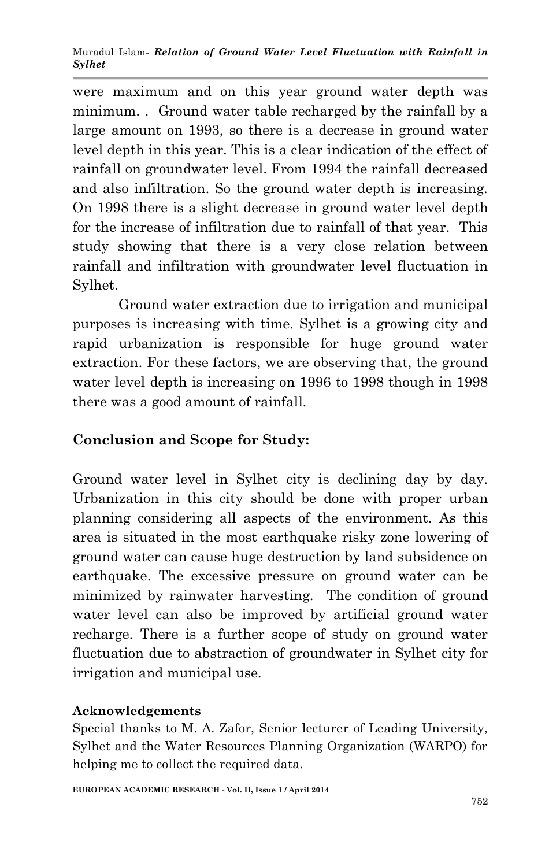Muradul Islam*- Relation of Ground Water Level Fluctuation with Rainfall in Sylhet*

were maximum and on this year ground water depth was minimum. . Ground water table recharged by the rainfall by a large amount on 1993, so there is a decrease in ground water level depth in this year. This is a clear indication of the effect of rainfall on groundwater level. From 1994 the rainfall decreased and also infiltration. So the ground water depth is increasing. On 1998 there is a slight decrease in ground water level depth for the increase of infiltration due to rainfall of that year. This study showing that there is a very close relation between rainfall and infiltration with groundwater level fluctuation in Sylhet.

Ground water extraction due to irrigation and municipal purposes is increasing with time. Sylhet is a growing city and rapid urbanization is responsible for huge ground water extraction. For these factors, we are observing that, the ground water level depth is increasing on 1996 to 1998 though in 1998 there was a good amount of rainfall.

### **Conclusion and Scope for Study:**

Ground water level in Sylhet city is declining day by day. Urbanization in this city should be done with proper urban planning considering all aspects of the environment. As this area is situated in the most earthquake risky zone lowering of ground water can cause huge destruction by land subsidence on earthquake. The excessive pressure on ground water can be minimized by rainwater harvesting. The condition of ground water level can also be improved by artificial ground water recharge. There is a further scope of study on ground water fluctuation due to abstraction of groundwater in Sylhet city for irrigation and municipal use.

### **Acknowledgements**

Special thanks to M. A. Zafor, Senior lecturer of Leading University, Sylhet and the Water Resources Planning Organization (WARPO) for helping me to collect the required data.